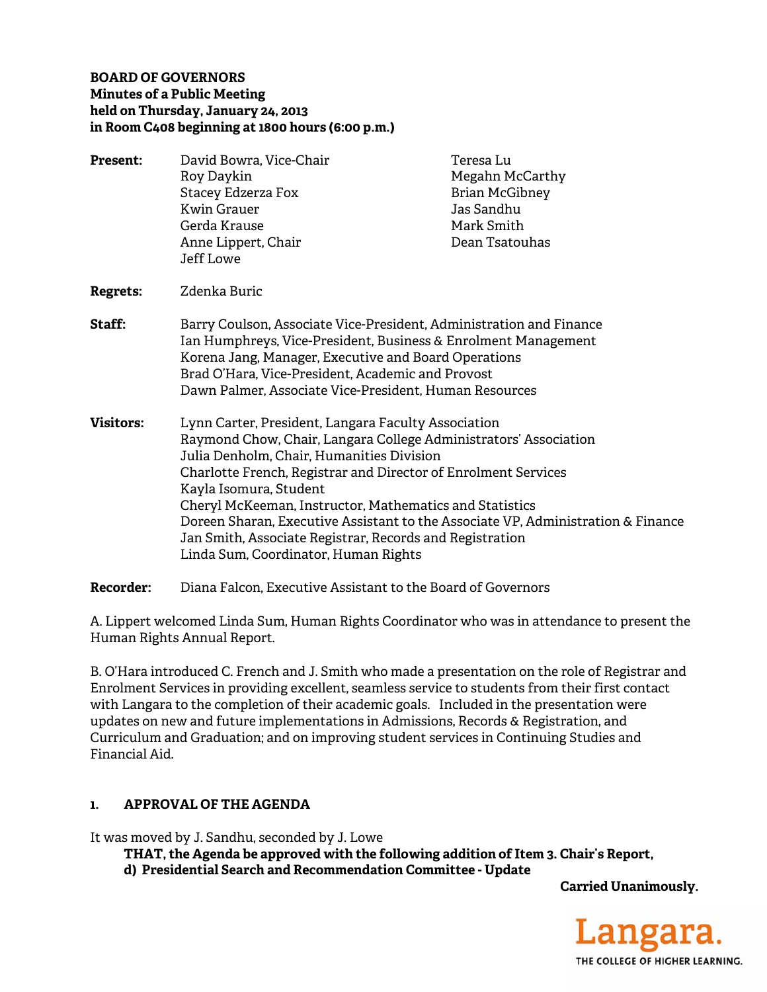### **BOARD OF GOVERNORS Minutes of a Public Meeting held on Thursday, January 24, 2013 in Room C408 beginning at 1800 hours (6:00 p.m.)**

**Present:** David Bowra, Vice-Chair **Teresa Lu** Roy Daykin **Megahn McCarthy** Stacey Edzerza Fox Brian McGibney Kwin Grauer **Jas Sandhu** Gerda Krause Mark Smith Anne Lippert, Chair **Dean Tratouhas**  Jeff Lowe **Regrets:** Zdenka Buric **Staff:** Barry Coulson, Associate Vice-President, Administration and Finance Ian Humphreys, Vice-President, Business & Enrolment Management Korena Jang, Manager, Executive and Board Operations Brad O'Hara, Vice-President, Academic and Provost Dawn Palmer, Associate Vice-President, Human Resources **Visitors:** Lynn Carter, President, Langara Faculty Association Raymond Chow, Chair, Langara College Administrators' Association Julia Denholm, Chair, Humanities Division Charlotte French, Registrar and Director of Enrolment Services Kayla Isomura, Student Cheryl McKeeman, Instructor, Mathematics and Statistics Doreen Sharan, Executive Assistant to the Associate VP, Administration & Finance Jan Smith, Associate Registrar, Records and Registration Linda Sum, Coordinator, Human Rights

**Recorder:** Diana Falcon, Executive Assistant to the Board of Governors

A. Lippert welcomed Linda Sum, Human Rights Coordinator who was in attendance to present the Human Rights Annual Report.

B. O'Hara introduced C. French and J. Smith who made a presentation on the role of Registrar and Enrolment Services in providing excellent, seamless service to students from their first contact with Langara to the completion of their academic goals. Included in the presentation were updates on new and future implementations in Admissions, Records & Registration, and Curriculum and Graduation; and on improving student services in Continuing Studies and Financial Aid.

### **1. APPROVAL OF THE AGENDA**

It was moved by J. Sandhu, seconded by J. Lowe

 **THAT, the Agenda be approved with the following addition of Item 3. Chair's Report, d) Presidential Search and Recommendation Committee - Update** 

**Carried Unanimously.** 

.angara. THE COLLEGE OF HIGHER LEARNING.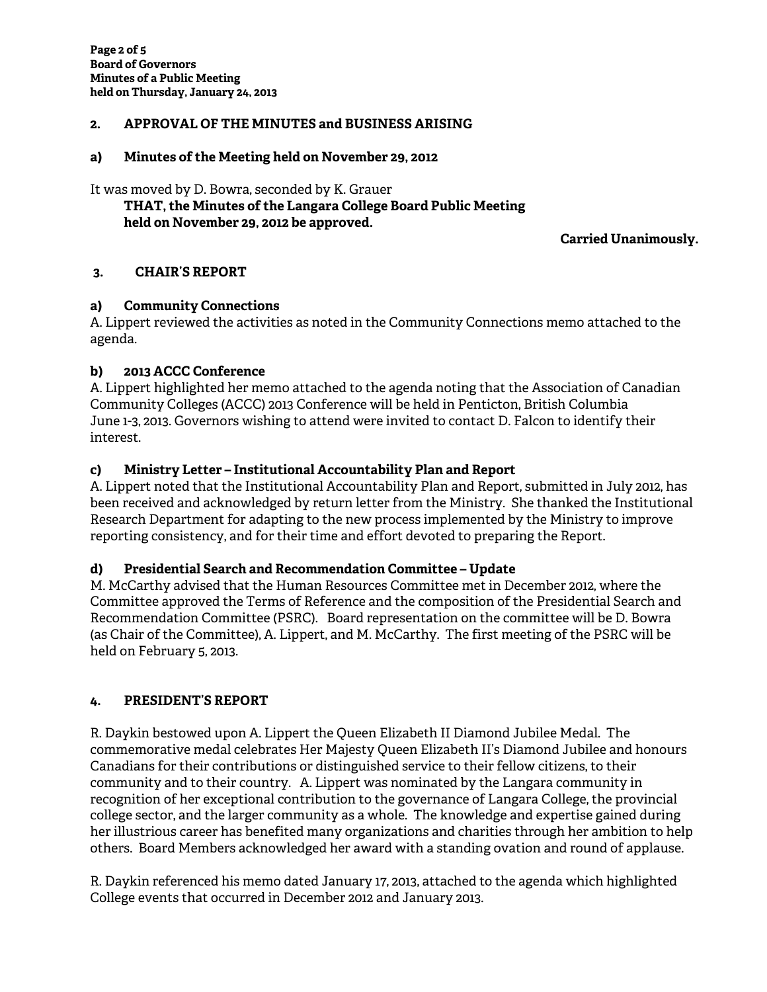## **2. APPROVAL OF THE MINUTES and BUSINESS ARISING**

#### **a) Minutes of the Meeting held on November 29, 2012**

It was moved by D. Bowra, seconded by K. Grauer

# **THAT, the Minutes of the Langara College Board Public Meeting held on November 29, 2012 be approved.**

**Carried Unanimously.** 

## **3. CHAIR'S REPORT**

### **a) Community Connections**

A. Lippert reviewed the activities as noted in the Community Connections memo attached to the agenda.

## **b) 2013 ACCC Conference**

A. Lippert highlighted her memo attached to the agenda noting that the Association of Canadian Community Colleges (ACCC) 2013 Conference will be held in Penticton, British Columbia June 1-3, 2013. Governors wishing to attend were invited to contact D. Falcon to identify their interest.

## **c) Ministry Letter – Institutional Accountability Plan and Report**

A. Lippert noted that the Institutional Accountability Plan and Report, submitted in July 2012, has been received and acknowledged by return letter from the Ministry. She thanked the Institutional Research Department for adapting to the new process implemented by the Ministry to improve reporting consistency, and for their time and effort devoted to preparing the Report.

### **d) Presidential Search and Recommendation Committee – Update**

M. McCarthy advised that the Human Resources Committee met in December 2012, where the Committee approved the Terms of Reference and the composition of the Presidential Search and Recommendation Committee (PSRC). Board representation on the committee will be D. Bowra (as Chair of the Committee), A. Lippert, and M. McCarthy. The first meeting of the PSRC will be held on February 5, 2013.

### **4. PRESIDENT'S REPORT**

R. Daykin bestowed upon A. Lippert the Queen Elizabeth II Diamond Jubilee Medal. The commemorative medal celebrates Her Majesty Queen Elizabeth II's Diamond Jubilee and honours Canadians for their contributions or distinguished service to their fellow citizens, to their community and to their country. A. Lippert was nominated by the Langara community in recognition of her exceptional contribution to the governance of Langara College, the provincial college sector, and the larger community as a whole. The knowledge and expertise gained during her illustrious career has benefited many organizations and charities through her ambition to help others. Board Members acknowledged her award with a standing ovation and round of applause.

R. Daykin referenced his memo dated January 17, 2013, attached to the agenda which highlighted College events that occurred in December 2012 and January 2013.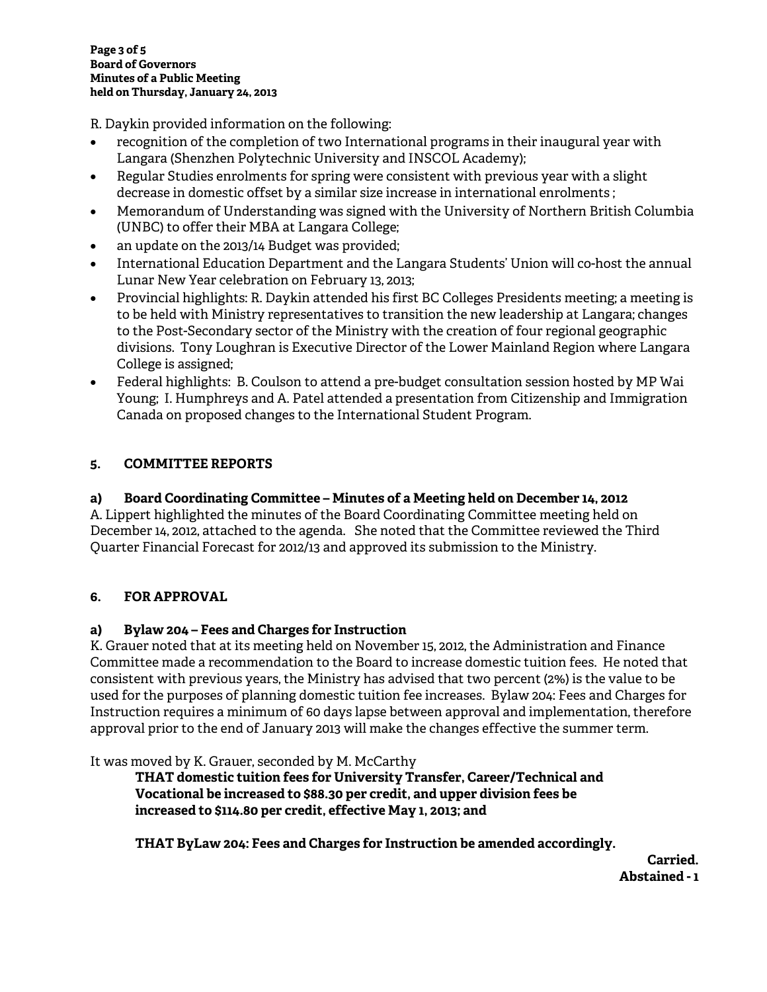R. Daykin provided information on the following:

- recognition of the completion of two International programs in their inaugural year with Langara (Shenzhen Polytechnic University and INSCOL Academy);
- Regular Studies enrolments for spring were consistent with previous year with a slight decrease in domestic offset by a similar size increase in international enrolments ;
- Memorandum of Understanding was signed with the University of Northern British Columbia (UNBC) to offer their MBA at Langara College;
- an update on the 2013/14 Budget was provided;
- International Education Department and the Langara Students' Union will co-host the annual Lunar New Year celebration on February 13, 2013;
- Provincial highlights: R. Daykin attended his first BC Colleges Presidents meeting; a meeting is to be held with Ministry representatives to transition the new leadership at Langara; changes to the Post-Secondary sector of the Ministry with the creation of four regional geographic divisions. Tony Loughran is Executive Director of the Lower Mainland Region where Langara College is assigned;
- Federal highlights: B. Coulson to attend a pre-budget consultation session hosted by MP Wai Young; I. Humphreys and A. Patel attended a presentation from Citizenship and Immigration Canada on proposed changes to the International Student Program.

# **5. COMMITTEE REPORTS**

## **a) Board Coordinating Committee – Minutes of a Meeting held on December 14, 2012**

A. Lippert highlighted the minutes of the Board Coordinating Committee meeting held on December 14, 2012, attached to the agenda. She noted that the Committee reviewed the Third Quarter Financial Forecast for 2012/13 and approved its submission to the Ministry.

## **6. FOR APPROVAL**

## **a) Bylaw 204 – Fees and Charges for Instruction**

K. Grauer noted that at its meeting held on November 15, 2012, the Administration and Finance Committee made a recommendation to the Board to increase domestic tuition fees. He noted that consistent with previous years, the Ministry has advised that two percent (2%) is the value to be used for the purposes of planning domestic tuition fee increases. Bylaw 204: Fees and Charges for Instruction requires a minimum of 60 days lapse between approval and implementation, therefore approval prior to the end of January 2013 will make the changes effective the summer term.

It was moved by K. Grauer, seconded by M. McCarthy

**THAT domestic tuition fees for University Transfer, Career/Technical and Vocational be increased to \$88.30 per credit, and upper division fees be increased to \$114.80 per credit, effective May 1, 2013; and**

 **THAT ByLaw 204: Fees and Charges for Instruction be amended accordingly.** 

**Carried.**  $\overline{\phantom{a}}$ **Abstained - 1**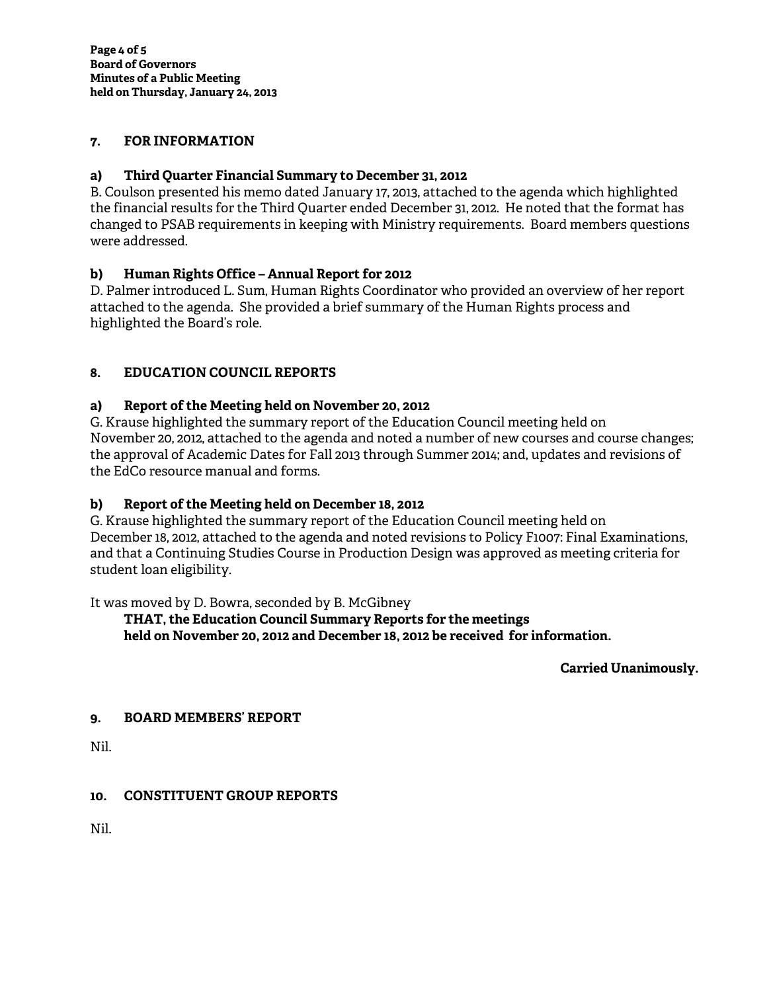### **7. FOR INFORMATION**

### **a) Third Quarter Financial Summary to December 31, 2012**

B. Coulson presented his memo dated January 17, 2013, attached to the agenda which highlighted the financial results for the Third Quarter ended December 31, 2012. He noted that the format has changed to PSAB requirements in keeping with Ministry requirements. Board members questions were addressed.

## **b) Human Rights Office – Annual Report for 2012**

D. Palmer introduced L. Sum, Human Rights Coordinator who provided an overview of her report attached to the agenda. She provided a brief summary of the Human Rights process and highlighted the Board's role.

## **8. EDUCATION COUNCIL REPORTS**

## **a) Report of the Meeting held on November 20, 2012**

G. Krause highlighted the summary report of the Education Council meeting held on November 20, 2012, attached to the agenda and noted a number of new courses and course changes; the approval of Academic Dates for Fall 2013 through Summer 2014; and, updates and revisions of the EdCo resource manual and forms.

### **b) Report of the Meeting held on December 18, 2012**

G. Krause highlighted the summary report of the Education Council meeting held on December 18, 2012, attached to the agenda and noted revisions to Policy F1007: Final Examinations, and that a Continuing Studies Course in Production Design was approved as meeting criteria for student loan eligibility.

It was moved by D. Bowra, seconded by B. McGibney

 **THAT, the Education Council Summary Reports for the meetings held on November 20, 2012 and December 18, 2012 be received for information.** 

**Carried Unanimously.** 

### **9. BOARD MEMBERS' REPORT**

Nil.

### **10. CONSTITUENT GROUP REPORTS**

Nil.